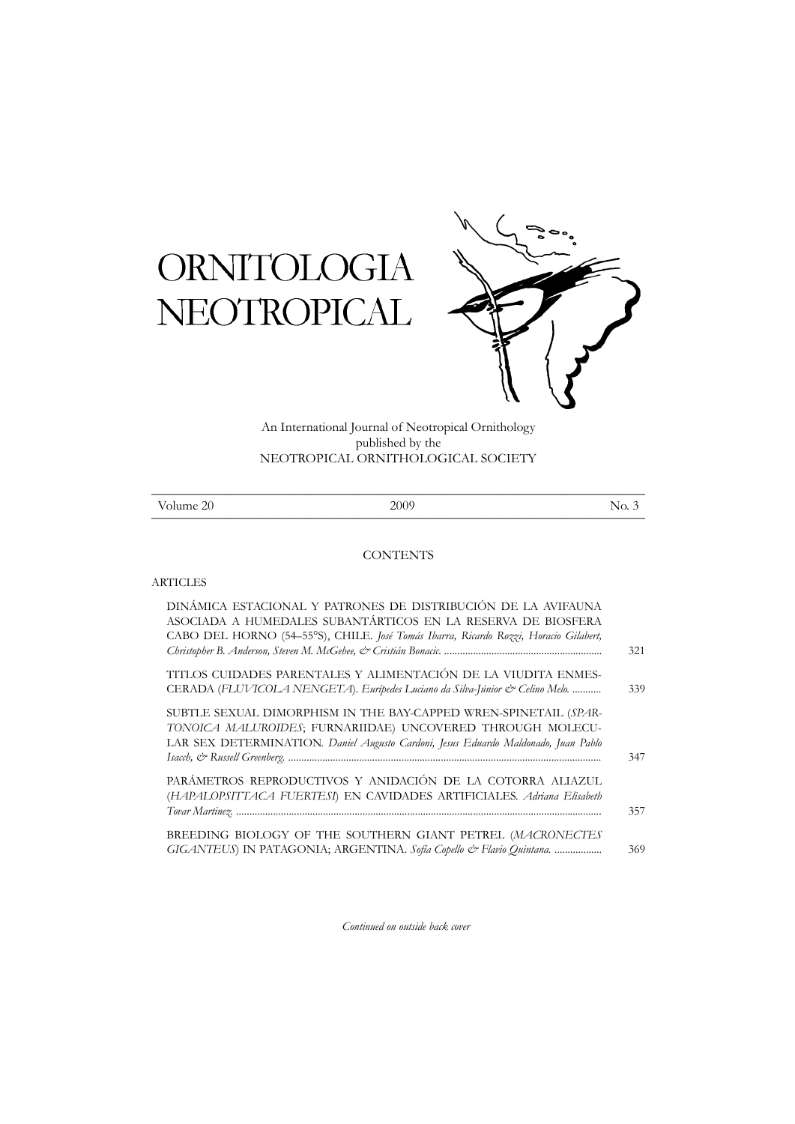## ORNITOLOGIA NEOTROPICAL



An International Journal of Neotropical Ornithology published by the NEOTROPICAL ORNITHOLOGICAL SOCIETY

| T<br><sup>7</sup> olume 20 | 2009 | N<br>$\sim$<br>NV.<br>۰ |
|----------------------------|------|-------------------------|

## **CONTENTS**

## ARTICLES

| DINÁMICA ESTACIONAL Y PATRONES DE DISTRIBUCIÓN DE LA AVIFAUNA<br>ASOCIADA A HUMEDALES SUBANTÁRTICOS EN LA RESERVA DE BIOSFERA<br>CABO DEL HORNO (54-55°S), CHILE. José Tomás Ibarra, Ricardo Rozzi, Horacio Gilabert, |     |
|-----------------------------------------------------------------------------------------------------------------------------------------------------------------------------------------------------------------------|-----|
|                                                                                                                                                                                                                       | 321 |
| TITLOS CUIDADES PARENTALES Y ALIMENTACIÓN DE LA VIUDITA ENMES-                                                                                                                                                        |     |
| CERADA (FLUVICOLA NENGETA). Eurípedes Luciano da Silva-Júnior & Celino Melo.                                                                                                                                          | 339 |
| SUBTLE SEXUAL DIMORPHISM IN THE BAY-CAPPED WREN-SPINETAIL (SPAR-<br>TONOICA MALUROIDES; FURNARIIDAE) UNCOVERED THROUGH MOLECU-<br>LAR SEX DETERMINATION. Daniel Augusto Cardoni, Jesus Eduardo Maldonado, Juan Pablo  |     |
|                                                                                                                                                                                                                       | 347 |
| PARÁMETROS REPRODUCTIVOS Y ANIDACIÓN DE LA COTORRA ALIAZUL<br>(HAPALOPSITTACA FUERTESI) EN CAVIDADES ARTIFICIALES. Adriana Elisabeth                                                                                  | 357 |
| BREEDING BIOLOGY OF THE SOUTHERN GIANT PETREL (MACRONECTES<br>GIGANTEUS) IN PATAGONIA; ARGENTINA. Sofía Copello & Flavio Quintana.                                                                                    | 369 |

*Continued on outside back cover*